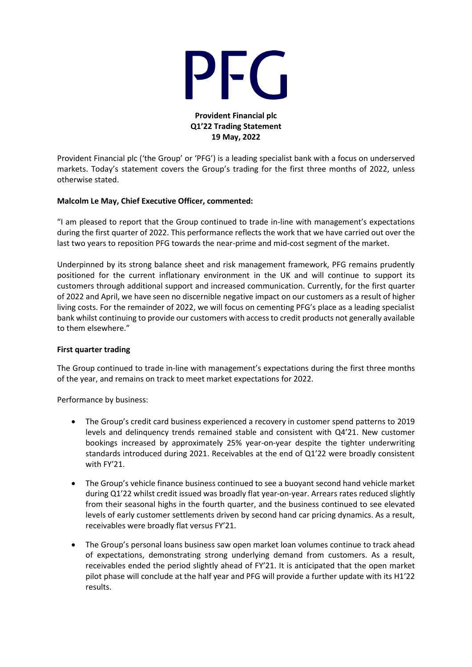

**Provident Financial plc Q1'22 Trading Statement 19 May, 2022**

Provident Financial plc ('the Group' or 'PFG') is a leading specialist bank with a focus on underserved markets. Today's statement covers the Group's trading for the first three months of 2022, unless otherwise stated.

## **Malcolm Le May, Chief Executive Officer, commented:**

"I am pleased to report that the Group continued to trade in-line with management's expectations during the first quarter of 2022. This performance reflects the work that we have carried out over the last two years to reposition PFG towards the near-prime and mid-cost segment of the market.

Underpinned by its strong balance sheet and risk management framework, PFG remains prudently positioned for the current inflationary environment in the UK and will continue to support its customers through additional support and increased communication. Currently, for the first quarter of 2022 and April, we have seen no discernible negative impact on our customers as a result of higher living costs. For the remainder of 2022, we will focus on cementing PFG's place as a leading specialist bank whilst continuing to provide our customers with access to credit products not generally available to them elsewhere."

## **First quarter trading**

The Group continued to trade in-line with management's expectations during the first three months of the year, and remains on track to meet market expectations for 2022.

Performance by business:

- The Group's credit card business experienced a recovery in customer spend patterns to 2019 levels and delinquency trends remained stable and consistent with Q4'21. New customer bookings increased by approximately 25% year-on-year despite the tighter underwriting standards introduced during 2021. Receivables at the end of Q1'22 were broadly consistent with FY'21.
- The Group's vehicle finance business continued to see a buoyant second hand vehicle market during Q1'22 whilst credit issued was broadly flat year-on-year. Arrears rates reduced slightly from their seasonal highs in the fourth quarter, and the business continued to see elevated levels of early customer settlements driven by second hand car pricing dynamics. As a result, receivables were broadly flat versus FY'21.
- The Group's personal loans business saw open market loan volumes continue to track ahead of expectations, demonstrating strong underlying demand from customers. As a result, receivables ended the period slightly ahead of FY'21. It is anticipated that the open market pilot phase will conclude at the half year and PFG will provide a further update with its H1'22 results.